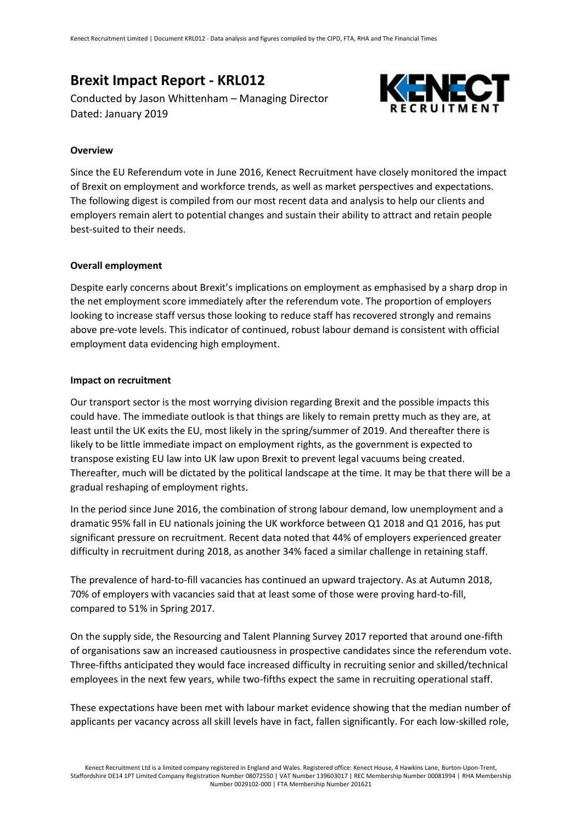# **Brexit Impact Report - KRL012**

Conducted by Jason Whittenham – Managing Director Dated: January 2019



# **Overview**

Since the EU Referendum vote in June 2016, Kenect Recruitment have closely monitored the impact of Brexit on employment and workforce trends, as well as market perspectives and expectations. The following digest is compiled from our most recent data and analysis to help our clients and employers remain alert to potential changes and sustain their ability to attract and retain people best-suited to their needs.

# **Overall employment**

Despite early concerns about Brexit's implications on employment as emphasised by a sharp drop in the net employment score immediately after the referendum vote. The proportion of employers looking to increase staff versus those looking to reduce staff has recovered strongly and remains above pre-vote levels. This indicator of continued, robust labour demand is consistent with official employment data evidencing high employment.

#### **Impact on recruitment**

Our transport sector is the most worrying division regarding Brexit and the possible impacts this could have. The immediate outlook is that things are likely to remain pretty much as they are, at least until the UK exits the EU, most likely in the spring/summer of 2019. And thereafter there is likely to be little immediate impact on employment rights, as the government is expected to transpose existing EU law into UK law upon Brexit to prevent legal vacuums being created. Thereafter, much will be dictated by the political landscape at the time. It may be that there will be a gradual reshaping of employment rights.

In the period since June 2016, the combination of strong labour demand, low unemployment and a dramatic 95% fall in EU nationals joining the UK workforce between Q1 2018 and Q1 2016, has put significant pressure on recruitment. Recent data noted that 44% of employers experienced greater difficulty in recruitment during 2018, as another 34% faced a similar challenge in retaining staff.

The prevalence of hard-to-fill vacancies has continued an upward trajectory. As at Autumn 2018, 70% of employers with vacancies said that at least some of those were proving hard-to-fill, compared to 51% in Spring 2017.

On the supply side, the Resourcing and Talent Planning Survey 2017 reported that around one-fifth of organisations saw an increased cautiousness in prospective candidates since the referendum vote. Three-fifths anticipated they would face increased difficulty in recruiting senior and skilled/technical employees in the next few years, while two-fifths expect the same in recruiting operational staff.

These expectations have been met with labour market evidence showing that the median number of applicants per vacancy across all skill levels have in fact, fallen significantly. For each low-skilled role,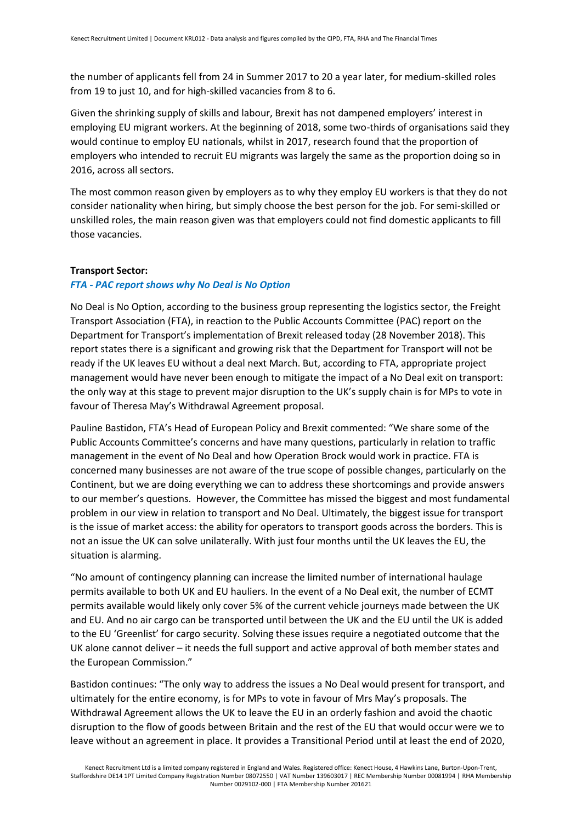the number of applicants fell from 24 in Summer 2017 to 20 a year later, for medium-skilled roles from 19 to just 10, and for high-skilled vacancies from 8 to 6.

Given the shrinking supply of skills and labour, Brexit has not dampened employers' interest in employing EU migrant workers. At the beginning of 2018, some two-thirds of organisations said they would continue to employ EU nationals, whilst in 2017, research found that the proportion of employers who intended to recruit EU migrants was largely the same as the proportion doing so in 2016, across all sectors.

The most common reason given by employers as to why they employ EU workers is that they do not consider nationality when hiring, but simply choose the best person for the job. For semi-skilled or unskilled roles, the main reason given was that employers could not find domestic applicants to fill those vacancies.

# **Transport Sector:**

# *FTA - PAC report shows why No Deal is No Option*

No Deal is No Option, according to the business group representing the logistics sector, the Freight Transport Association (FTA), in reaction to the Public Accounts Committee (PAC) report on the Department for Transport's implementation of Brexit released today (28 November 2018). This report states there is a significant and growing risk that the Department for Transport will not be ready if the UK leaves EU without a deal next March. But, according to FTA, appropriate project management would have never been enough to mitigate the impact of a No Deal exit on transport: the only way at this stage to prevent major disruption to the UK's supply chain is for MPs to vote in favour of Theresa May's Withdrawal Agreement proposal.

Pauline Bastidon, FTA's Head of European Policy and Brexit commented: "We share some of the Public Accounts Committee's concerns and have many questions, particularly in relation to traffic management in the event of No Deal and how Operation Brock would work in practice. FTA is concerned many businesses are not aware of the true scope of possible changes, particularly on the Continent, but we are doing everything we can to address these shortcomings and provide answers to our member's questions. However, the Committee has missed the biggest and most fundamental problem in our view in relation to transport and No Deal. Ultimately, the biggest issue for transport is the issue of market access: the ability for operators to transport goods across the borders. This is not an issue the UK can solve unilaterally. With just four months until the UK leaves the EU, the situation is alarming.

"No amount of contingency planning can increase the limited number of international haulage permits available to both UK and EU hauliers. In the event of a No Deal exit, the number of ECMT permits available would likely only cover 5% of the current vehicle journeys made between the UK and EU. And no air cargo can be transported until between the UK and the EU until the UK is added to the EU 'Greenlist' for cargo security. Solving these issues require a negotiated outcome that the UK alone cannot deliver – it needs the full support and active approval of both member states and the European Commission."

Bastidon continues: "The only way to address the issues a No Deal would present for transport, and ultimately for the entire economy, is for MPs to vote in favour of Mrs May's proposals. The Withdrawal Agreement allows the UK to leave the EU in an orderly fashion and avoid the chaotic disruption to the flow of goods between Britain and the rest of the EU that would occur were we to leave without an agreement in place. It provides a Transitional Period until at least the end of 2020,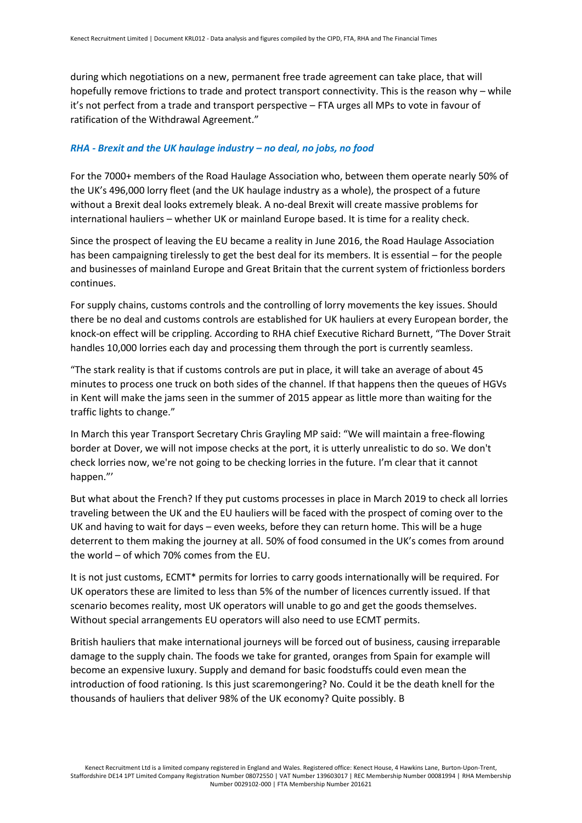during which negotiations on a new, permanent free trade agreement can take place, that will hopefully remove frictions to trade and protect transport connectivity. This is the reason why – while it's not perfect from a trade and transport perspective – FTA urges all MPs to vote in favour of ratification of the Withdrawal Agreement."

# *RHA - Brexit and the UK haulage industry – no deal, no jobs, no food*

For the 7000+ members of the Road Haulage Association who, between them operate nearly 50% of the UK's 496,000 lorry fleet (and the UK haulage industry as a whole), the prospect of a future without a Brexit deal looks extremely bleak. A no-deal Brexit will create massive problems for international hauliers – whether UK or mainland Europe based. It is time for a reality check.

Since the prospect of leaving the EU became a reality in June 2016, the Road Haulage Association has been campaigning tirelessly to get the best deal for its members. It is essential – for the people and businesses of mainland Europe and Great Britain that the current system of frictionless borders continues.

For supply chains, customs controls and the controlling of lorry movements the key issues. Should there be no deal and customs controls are established for UK hauliers at every European border, the knock-on effect will be crippling. According to RHA chief Executive Richard Burnett, "The Dover Strait handles 10,000 lorries each day and processing them through the port is currently seamless.

"The stark reality is that if customs controls are put in place, it will take an average of about 45 minutes to process one truck on both sides of the channel. If that happens then the queues of HGVs in Kent will make the jams seen in the summer of 2015 appear as little more than waiting for the traffic lights to change."

In March this year Transport Secretary Chris Grayling MP said: "We will maintain a free-flowing border at Dover, we will not impose checks at the port, it is utterly unrealistic to do so. We don't check lorries now, we're not going to be checking lorries in the future. I'm clear that it cannot happen."'

But what about the French? If they put customs processes in place in March 2019 to check all lorries traveling between the UK and the EU hauliers will be faced with the prospect of coming over to the UK and having to wait for days – even weeks, before they can return home. This will be a huge deterrent to them making the journey at all. 50% of food consumed in the UK's comes from around the world – of which 70% comes from the EU.

It is not just customs, ECMT\* permits for lorries to carry goods internationally will be required. For UK operators these are limited to less than 5% of the number of licences currently issued. If that scenario becomes reality, most UK operators will unable to go and get the goods themselves. Without special arrangements EU operators will also need to use ECMT permits.

British hauliers that make international journeys will be forced out of business, causing irreparable damage to the supply chain. The foods we take for granted, oranges from Spain for example will become an expensive luxury. Supply and demand for basic foodstuffs could even mean the introduction of food rationing. Is this just scaremongering? No. Could it be the death knell for the thousands of hauliers that deliver 98% of the UK economy? Quite possibly. B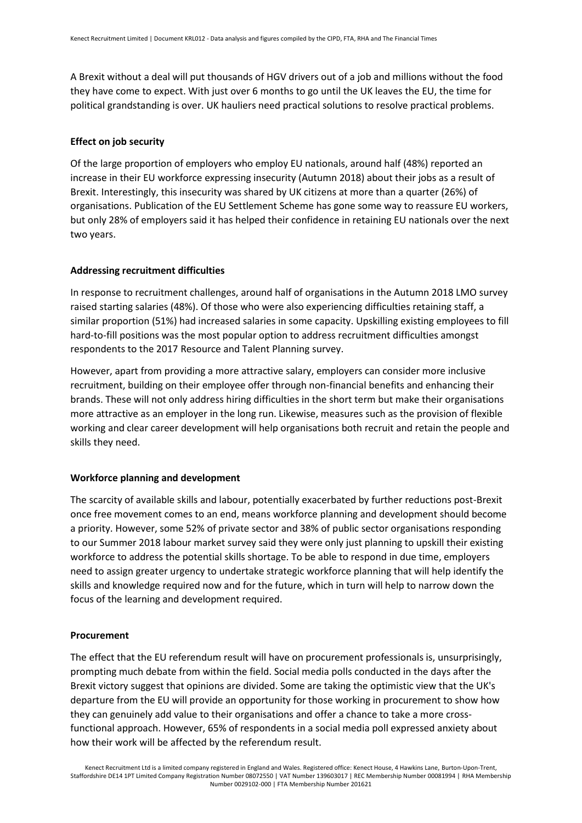A Brexit without a deal will put thousands of HGV drivers out of a job and millions without the food they have come to expect. With just over 6 months to go until the UK leaves the EU, the time for political grandstanding is over. UK hauliers need practical solutions to resolve practical problems.

# **Effect on job security**

Of the large proportion of employers who employ EU nationals, around half (48%) reported an increase in their EU workforce expressing insecurity (Autumn 2018) about their jobs as a result of Brexit. Interestingly, this insecurity was shared by UK citizens at more than a quarter (26%) of organisations. Publication of the EU Settlement Scheme has gone some way to reassure EU workers, but only 28% of employers said it has helped their confidence in retaining EU nationals over the next two years.

# **Addressing recruitment difficulties**

In response to recruitment challenges, around half of organisations in the Autumn 2018 LMO survey raised starting salaries (48%). Of those who were also experiencing difficulties retaining staff, a similar proportion (51%) had increased salaries in some capacity. Upskilling existing employees to fill hard-to-fill positions was the most popular option to address recruitment difficulties amongst respondents to the 2017 Resource and Talent Planning survey.

However, apart from providing a more attractive salary, employers can consider more inclusive recruitment, building on their employee offer through non-financial benefits and enhancing their brands. These will not only address hiring difficulties in the short term but make their organisations more attractive as an employer in the long run. Likewise, measures such as the provision of flexible working and clear career development will help organisations both recruit and retain the people and skills they need.

#### **Workforce planning and development**

The scarcity of available skills and labour, potentially exacerbated by further reductions post-Brexit once free movement comes to an end, means workforce planning and development should become a priority. However, some 52% of private sector and 38% of public sector organisations responding to our Summer 2018 labour market survey said they were only just planning to upskill their existing workforce to address the potential skills shortage. To be able to respond in due time, employers need to assign greater urgency to undertake strategic workforce planning that will help identify the skills and knowledge required now and for the future, which in turn will help to narrow down the focus of the learning and development required.

#### **Procurement**

The effect that the EU referendum result will have on procurement professionals is, unsurprisingly, prompting much debate from within the field. Social media polls conducted in the days after the Brexit victory suggest that opinions are divided. Some are taking the optimistic view that the UK's departure from the EU will provide an opportunity for those working in procurement to show how they can genuinely add value to their organisations and offer a chance to take a more crossfunctional approach. However, 65% of respondents in a social media poll expressed anxiety about how their work will be affected by the referendum result.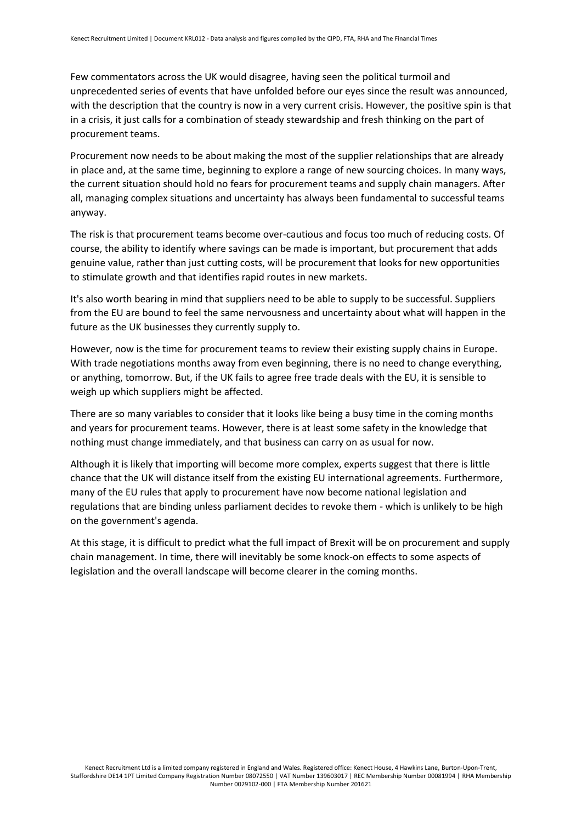Few commentators across the UK would disagree, having seen the political turmoil and unprecedented series of events that have unfolded before our eyes since the result was announced, with the description that the country is now in a very current crisis. However, the positive spin is that in a crisis, it just calls for a combination of steady stewardship and fresh thinking on the part of procurement teams.

Procurement now needs to be about making the most of the supplier relationships that are already in place and, at the same time, beginning to explore a range of new sourcing choices. In many ways, the current situation should hold no fears for procurement teams and supply chain managers. After all, managing complex situations and uncertainty has always been fundamental to successful teams anyway.

The risk is that procurement teams become over-cautious and focus too much of reducing costs. Of course, the ability to identify where savings can be made is important, but procurement that adds genuine value, rather than just cutting costs, will be procurement that looks for new opportunities to stimulate growth and that identifies rapid routes in new markets.

It's also worth bearing in mind that suppliers need to be able to supply to be successful. Suppliers from the EU are bound to feel the same nervousness and uncertainty about what will happen in the future as the UK businesses they currently supply to.

However, now is the time for procurement teams to review their existing supply chains in Europe. With trade negotiations months away from even beginning, there is no need to change everything, or anything, tomorrow. But, if the UK fails to agree free trade deals with the EU, it is sensible to weigh up which suppliers might be affected.

There are so many variables to consider that it looks like being a busy time in the coming months and years for procurement teams. However, there is at least some safety in the knowledge that nothing must change immediately, and that business can carry on as usual for now.

Although it is likely that importing will become more complex, experts suggest that there is little chance that the UK will distance itself from the existing EU international agreements. Furthermore, many of the EU rules that apply to procurement have now become national legislation and regulations that are binding unless parliament decides to revoke them - which is unlikely to be high on the government's agenda.

At this stage, it is difficult to predict what the full impact of Brexit will be on procurement and supply chain management. In time, there will inevitably be some knock-on effects to some aspects of legislation and the overall landscape will become clearer in the coming months.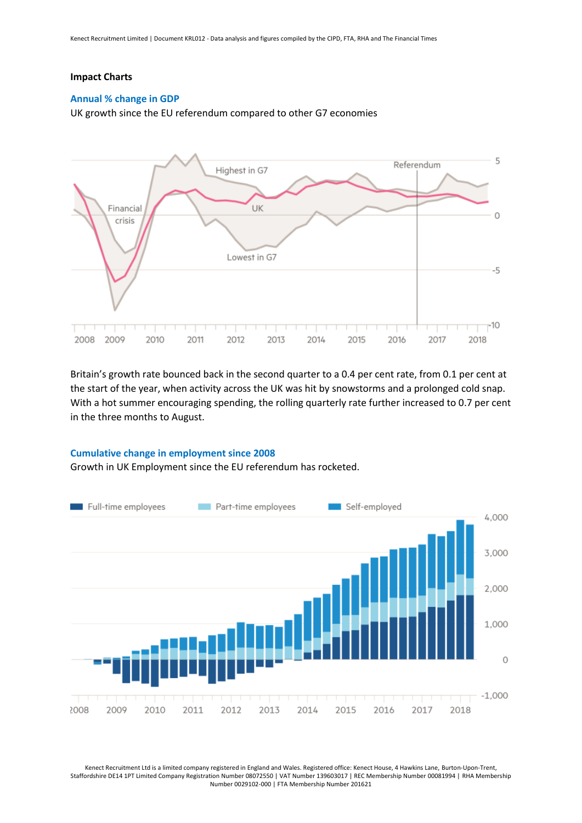#### **Impact Charts**

#### **Annual % change in GDP**

UK growth since the EU referendum compared to other G7 economies



Britain's growth rate bounced back in the second quarter to a 0.4 per cent rate, from 0.1 per cent at the start of the year, when activity across the UK was hit by snowstorms and a prolonged cold snap. With a hot summer encouraging spending, the rolling quarterly rate further increased to 0.7 per cent in the three months to August.

#### **Cumulative change in employment since 2008**

Growth in UK Employment since the EU referendum has rocketed.



Kenect Recruitment Ltd is a limited company registered in England and Wales. Registered office: Kenect House, 4 Hawkins Lane, Burton-Upon-Trent, Staffordshire DE14 1PT Limited Company Registration Number 08072550 | VAT Number 139603017 | REC Membership Number 00081994 | RHA Membership Number 0029102-000 | FTA Membership Number 201621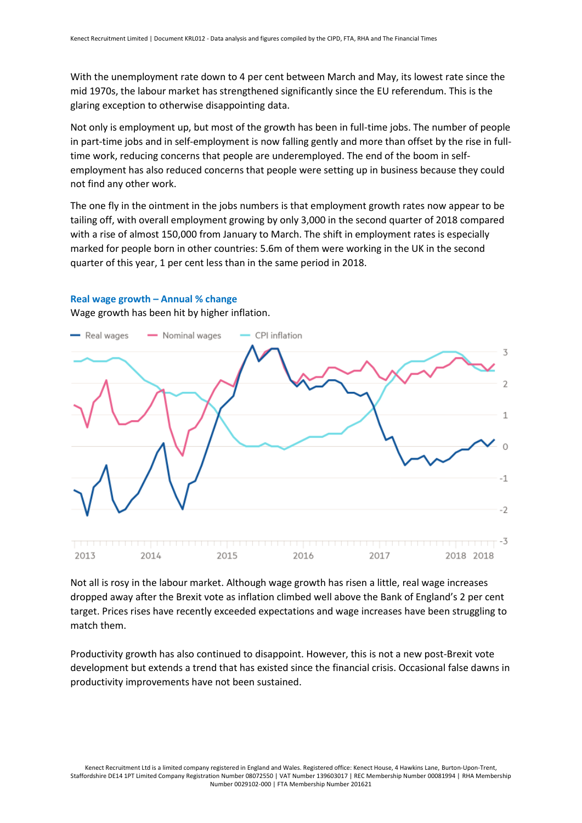With the unemployment rate down to 4 per cent between March and May, its lowest rate since the mid 1970s, the labour market has strengthened significantly since the EU referendum. This is the glaring exception to otherwise disappointing data.

Not only is employment up, but most of the growth has been in full-time jobs. The number of people in part-time jobs and in self-employment is now falling gently and more than offset by the rise in fulltime work, reducing concerns that people are underemployed. The end of the boom in selfemployment has also reduced concerns that people were setting up in business because they could not find any other work.

The one fly in the ointment in the jobs numbers is that employment growth rates now appear to be tailing off, with overall employment growing by only 3,000 in the second quarter of 2018 compared with a rise of almost 150,000 from January to March. The shift in employment rates is especially marked for people born in other countries: 5.6m of them were working in the UK in the second quarter of this year, 1 per cent less than in the same period in 2018.



#### **Real wage growth – Annual % change**

Wage growth has been hit by higher inflation.

Not all is rosy in the labour market. Although wage growth has risen a little, real wage increases dropped away after the Brexit vote as inflation climbed well above the Bank of England's 2 per cent target. Prices rises have recently exceeded expectations and wage increases have been struggling to match them.

Productivity growth has also continued to disappoint. However, this is not a new post-Brexit vote development but extends a trend that has existed since the financial crisis. Occasional false dawns in productivity improvements have not been sustained.